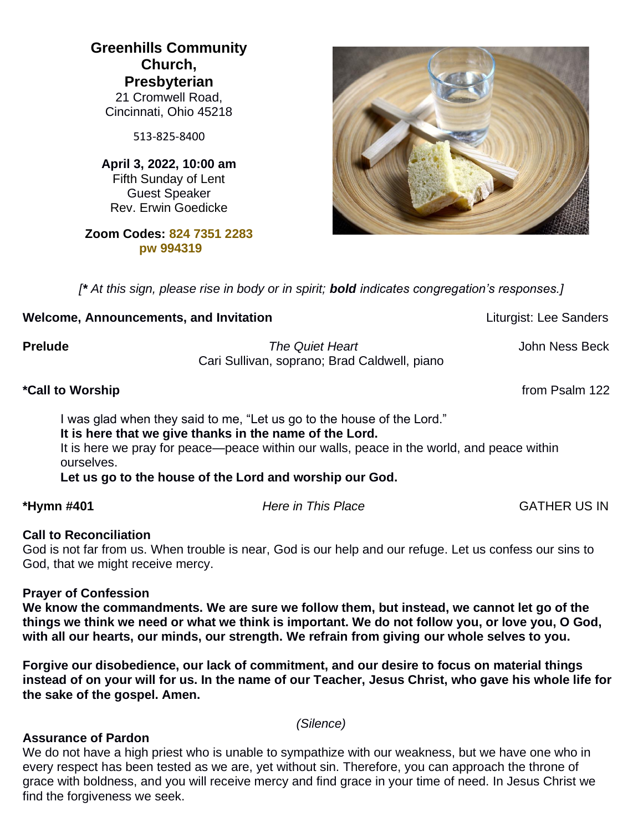**Greenhills Community Church, Presbyterian** 21 Cromwell Road, Cincinnati, Ohio 45218

513-825-8400

**April 3, 2022, 10:00 am** Fifth Sunday of Lent Guest Speaker Rev. Erwin Goedicke

### **Zoom Codes: 824 7351 2283 pw 994319**

*[\* At this sign, please rise in body or in spirit; bold indicates congregation's responses.]*

### **Welcome, Announcements, and Invitation** *Liturgist:* **Lee Sanders** *Liturgist:* **Lee Sanders**

**Prelude** *The Quiet Heart*John Ness Beck Cari Sullivan, soprano; Brad Caldwell, piano

**\*Call to Worship** from Psalm 122

I was glad when they said to me, "Let us go to the house of the Lord." **It is here that we give thanks in the name of the Lord.**

It is here we pray for peace—peace within our walls, peace in the world, and peace within ourselves.

**Let us go to the house of the Lord and worship our God.**

**\*Hymn #401** *Here in This Place* GATHER US IN

#### **Call to Reconciliation**

God is not far from us. When trouble is near, God is our help and our refuge. Let us confess our sins to God, that we might receive mercy.

#### **Prayer of Confession**

**We know the commandments. We are sure we follow them, but instead, we cannot let go of the things we think we need or what we think is important. We do not follow you, or love you, O God, with all our hearts, our minds, our strength. We refrain from giving our whole selves to you.** 

**Forgive our disobedience, our lack of commitment, and our desire to focus on material things instead of on your will for us. In the name of our Teacher, Jesus Christ, who gave his whole life for the sake of the gospel. Amen.**

*(Silence)*

#### **Assurance of Pardon**

We do not have a high priest who is unable to sympathize with our weakness, but we have one who in every respect has been tested as we are, yet without sin. Therefore, you can approach the throne of grace with boldness, and you will receive mercy and find grace in your time of need. In Jesus Christ we find the forgiveness we seek.

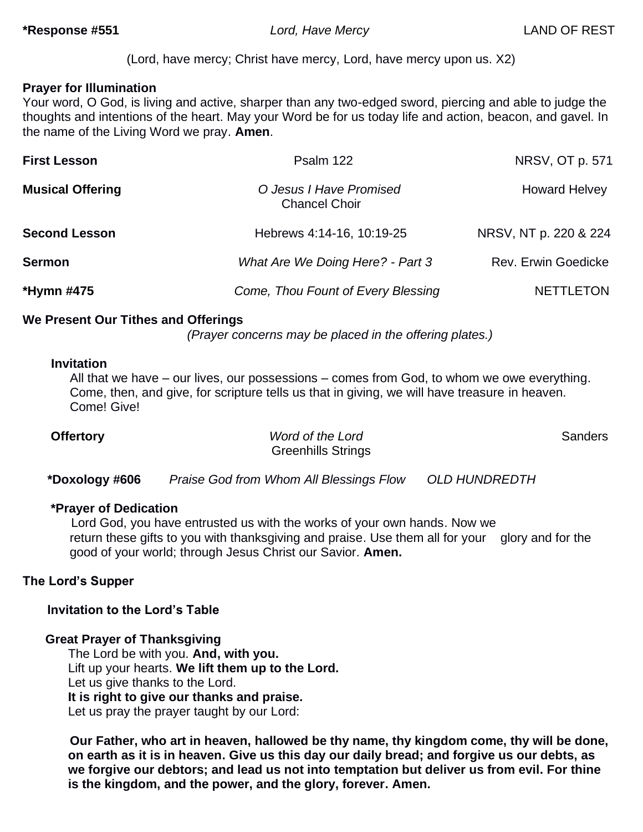(Lord, have mercy; Christ have mercy, Lord, have mercy upon us. X2)

### **Prayer for Illumination**

Your word, O God, is living and active, sharper than any two-edged sword, piercing and able to judge the thoughts and intentions of the heart. May your Word be for us today life and action, beacon, and gavel. In the name of the Living Word we pray. **Amen**.

| <b>First Lesson</b>     | Psalm 122                                       | NRSV, OT p. 571       |
|-------------------------|-------------------------------------------------|-----------------------|
| <b>Musical Offering</b> | O Jesus I Have Promised<br><b>Chancel Choir</b> | <b>Howard Helvey</b>  |
| <b>Second Lesson</b>    | Hebrews 4:14-16, 10:19-25                       | NRSV, NT p. 220 & 224 |
| <b>Sermon</b>           | What Are We Doing Here? - Part 3                | Rev. Erwin Goedicke   |
| *Hymn #475              | Come, Thou Fount of Every Blessing              | <b>NETTLETON</b>      |

### **We Present Our Tithes and Offerings**

*(Prayer concerns may be placed in the offering plates.)*

#### **Invitation**

All that we have – our lives, our possessions – comes from God, to whom we owe everything. Come, then, and give, for scripture tells us that in giving, we will have treasure in heaven. Come! Give!

| <b>Offertory</b> | Word of the Lord          | <b>Sanders</b> |
|------------------|---------------------------|----------------|
|                  | <b>Greenhills Strings</b> |                |

 **\*Doxology #606** *Praise God from Whom All Blessings Flow OLD HUNDREDTH* 

#### **\*Prayer of Dedication**

Lord God, you have entrusted us with the works of your own hands. Now we return these gifts to you with thanksgiving and praise. Use them all for your glory and for the good of your world; through Jesus Christ our Savior. **Amen.**

## **The Lord's Supper**

## **Invitation to the Lord's Table**

**Great Prayer of Thanksgiving**

The Lord be with you. **And, with you.** Lift up your hearts. **We lift them up to the Lord.** Let us give thanks to the Lord. **It is right to give our thanks and praise.** Let us pray the prayer taught by our Lord:

**Our Father, who art in heaven, hallowed be thy name, thy kingdom come, thy will be done, on earth as it is in heaven. Give us this day our daily bread; and forgive us our debts, as we forgive our debtors; and lead us not into temptation but deliver us from evil. For thine is the kingdom, and the power, and the glory, forever. Amen.**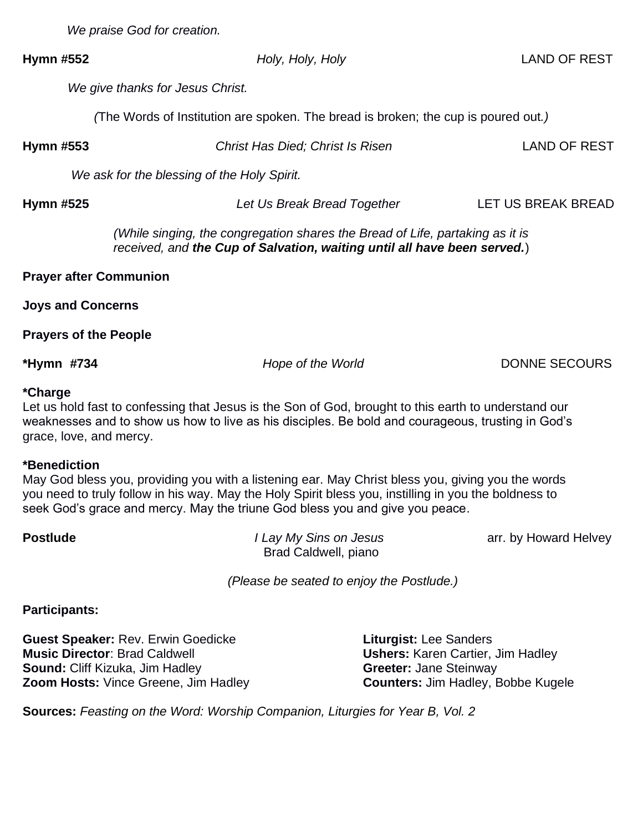*We praise God for creation.*

#### **Hymn #552** *Holy, Holy, Holy* LAND OF REST

 *We give thanks for Jesus Christ.*

*(*The Words of Institution are spoken. The bread is broken; the cup is poured out*.)*

**Hymn #553** *Christ Has Died; Christ Is Risen* LAND OF REST

 *We ask for the blessing of the Holy Spirit.*

**Hymn #525** *Let Us Break Bread Together* LET US BREAK BREAD

*(While singing, the congregation shares the Bread of Life, partaking as it is received, and the Cup of Salvation, waiting until all have been served.*)

| <b>Prayer after Communion</b> |
|-------------------------------|
|-------------------------------|

**Joys and Concerns**

**Prayers of the People** 

**\*Hymn** *#***734** *Hope of the World* DONNE SECOURS

#### **\*Charge**

Let us hold fast to confessing that Jesus is the Son of God, brought to this earth to understand our weaknesses and to show us how to live as his disciples. Be bold and courageous, trusting in God's grace, love, and mercy.

#### **\*Benediction**

May God bless you, providing you with a listening ear. May Christ bless you, giving you the words you need to truly follow in his way. May the Holy Spirit bless you, instilling in you the boldness to seek God's grace and mercy. May the triune God bless you and give you peace.

| <b>Postlude</b> | I Lay My Sins on Jesus | arr. by Howard Helvey |
|-----------------|------------------------|-----------------------|
|                 | Brad Caldwell, piano   |                       |
|                 |                        |                       |

*(Please be seated to enjoy the Postlude.)*

**Participants:** 

**Guest Speaker:** Rev. Erwin Goedicke **Liturgist: Lee Sanders Music Director**: Brad Caldwell **Ushers:** Karen Cartier, Jim Hadley **Sound:** Cliff Kizuka, Jim Hadley **Greeter:** Jane Steinway **Zoom Hosts:** Vince Greene, Jim Hadley **Counters:** Jim Hadley, Bobbe Kugele

**Sources:** *Feasting on the Word: Worship Companion, Liturgies for Year B, Vol. 2*